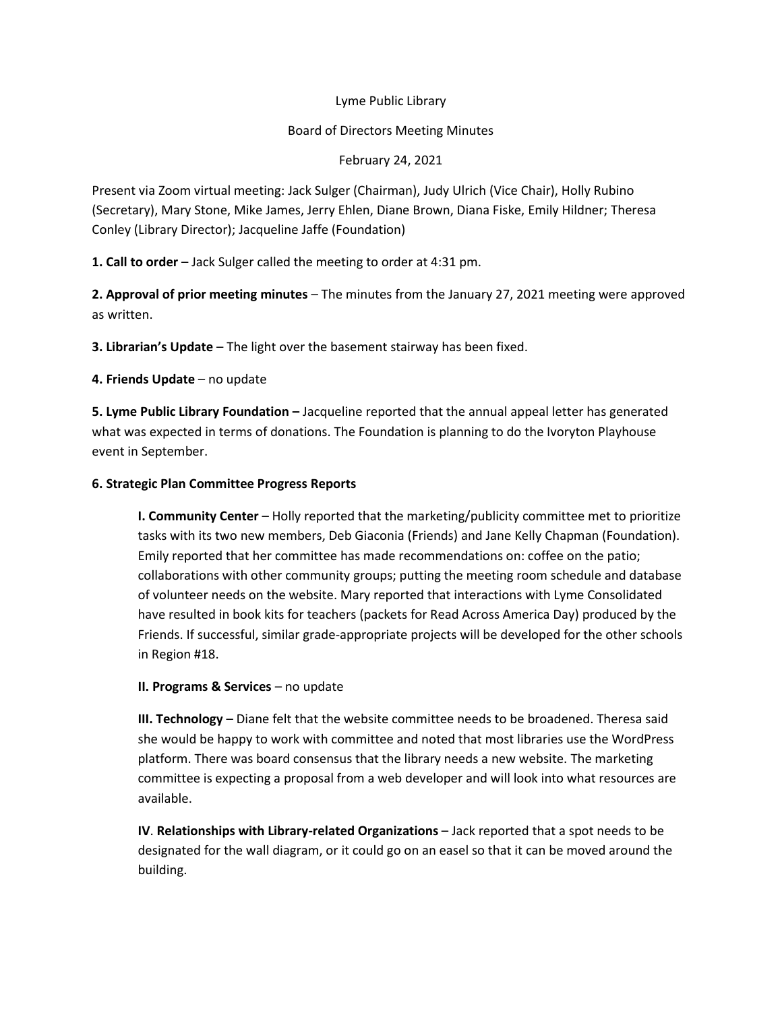## Lyme Public Library

## Board of Directors Meeting Minutes

February 24, 2021

Present via Zoom virtual meeting: Jack Sulger (Chairman), Judy Ulrich (Vice Chair), Holly Rubino (Secretary), Mary Stone, Mike James, Jerry Ehlen, Diane Brown, Diana Fiske, Emily Hildner; Theresa Conley (Library Director); Jacqueline Jaffe (Foundation)

**1. Call to order** – Jack Sulger called the meeting to order at 4:31 pm.

**2. Approval of prior meeting minutes** – The minutes from the January 27, 2021 meeting were approved as written.

**3. Librarian's Update** – The light over the basement stairway has been fixed.

**4. Friends Update** – no update

**5. Lyme Public Library Foundation –** Jacqueline reported that the annual appeal letter has generated what was expected in terms of donations. The Foundation is planning to do the Ivoryton Playhouse event in September.

## **6. Strategic Plan Committee Progress Reports**

**I. Community Center** – Holly reported that the marketing/publicity committee met to prioritize tasks with its two new members, Deb Giaconia (Friends) and Jane Kelly Chapman (Foundation). Emily reported that her committee has made recommendations on: coffee on the patio; collaborations with other community groups; putting the meeting room schedule and database of volunteer needs on the website. Mary reported that interactions with Lyme Consolidated have resulted in book kits for teachers (packets for Read Across America Day) produced by the Friends. If successful, similar grade-appropriate projects will be developed for the other schools in Region #18.

**II. Programs & Services** – no update

**III. Technology** – Diane felt that the website committee needs to be broadened. Theresa said she would be happy to work with committee and noted that most libraries use the WordPress platform. There was board consensus that the library needs a new website. The marketing committee is expecting a proposal from a web developer and will look into what resources are available.

**IV**. **Relationships with Library-related Organizations** – Jack reported that a spot needs to be designated for the wall diagram, or it could go on an easel so that it can be moved around the building.